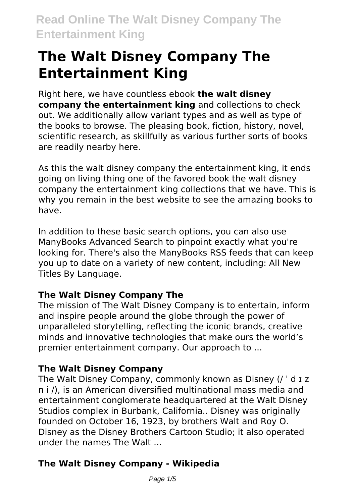# **The Walt Disney Company The Entertainment King**

Right here, we have countless ebook **the walt disney company the entertainment king** and collections to check out. We additionally allow variant types and as well as type of the books to browse. The pleasing book, fiction, history, novel, scientific research, as skillfully as various further sorts of books are readily nearby here.

As this the walt disney company the entertainment king, it ends going on living thing one of the favored book the walt disney company the entertainment king collections that we have. This is why you remain in the best website to see the amazing books to have.

In addition to these basic search options, you can also use ManyBooks Advanced Search to pinpoint exactly what you're looking for. There's also the ManyBooks RSS feeds that can keep you up to date on a variety of new content, including: All New Titles By Language.

#### **The Walt Disney Company The**

The mission of The Walt Disney Company is to entertain, inform and inspire people around the globe through the power of unparalleled storytelling, reflecting the iconic brands, creative minds and innovative technologies that make ours the world's premier entertainment company. Our approach to ...

#### **The Walt Disney Company**

The Walt Disney Company, commonly known as Disney (/ ˈ d ɪ z n i /), is an American diversified multinational mass media and entertainment conglomerate headquartered at the Walt Disney Studios complex in Burbank, California.. Disney was originally founded on October 16, 1923, by brothers Walt and Roy O. Disney as the Disney Brothers Cartoon Studio; it also operated under the names The Walt

### **The Walt Disney Company - Wikipedia**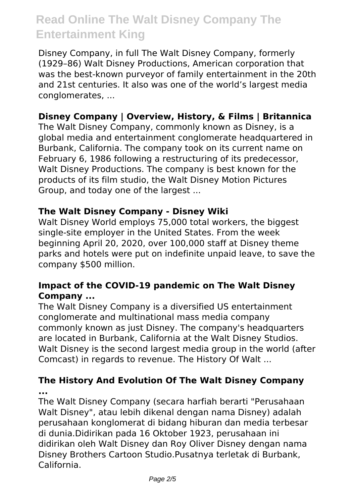Disney Company, in full The Walt Disney Company, formerly (1929–86) Walt Disney Productions, American corporation that was the best-known purveyor of family entertainment in the 20th and 21st centuries. It also was one of the world's largest media conglomerates, ...

#### **Disney Company | Overview, History, & Films | Britannica**

The Walt Disney Company, commonly known as Disney, is a global media and entertainment conglomerate headquartered in Burbank, California. The company took on its current name on February 6, 1986 following a restructuring of its predecessor, Walt Disney Productions. The company is best known for the products of its film studio, the Walt Disney Motion Pictures Group, and today one of the largest ...

#### **The Walt Disney Company - Disney Wiki**

Walt Disney World employs 75,000 total workers, the biggest single-site employer in the United States. From the week beginning April 20, 2020, over 100,000 staff at Disney theme parks and hotels were put on indefinite unpaid leave, to save the company \$500 million.

#### **Impact of the COVID-19 pandemic on The Walt Disney Company ...**

The Walt Disney Company is a diversified US entertainment conglomerate and multinational mass media company commonly known as just Disney. The company's headquarters are located in Burbank, California at the Walt Disney Studios. Walt Disney is the second largest media group in the world (after Comcast) in regards to revenue. The History Of Walt ...

#### **The History And Evolution Of The Walt Disney Company ...**

The Walt Disney Company (secara harfiah berarti "Perusahaan Walt Disney", atau lebih dikenal dengan nama Disney) adalah perusahaan konglomerat di bidang hiburan dan media terbesar di dunia.Didirikan pada 16 Oktober 1923, perusahaan ini didirikan oleh Walt Disney dan Roy Oliver Disney dengan nama Disney Brothers Cartoon Studio.Pusatnya terletak di Burbank, California.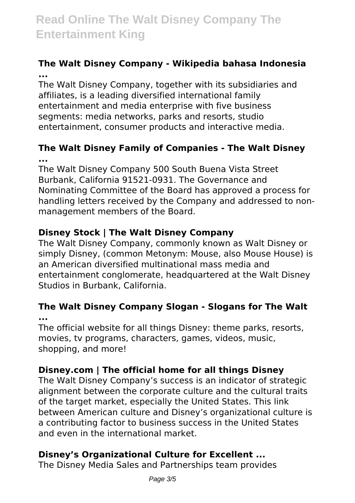#### **The Walt Disney Company - Wikipedia bahasa Indonesia ...**

The Walt Disney Company, together with its subsidiaries and affiliates, is a leading diversified international family entertainment and media enterprise with five business segments: media networks, parks and resorts, studio entertainment, consumer products and interactive media.

#### **The Walt Disney Family of Companies - The Walt Disney ...**

The Walt Disney Company 500 South Buena Vista Street Burbank, California 91521-0931. The Governance and Nominating Committee of the Board has approved a process for handling letters received by the Company and addressed to nonmanagement members of the Board.

### **Disney Stock | The Walt Disney Company**

The Walt Disney Company, commonly known as Walt Disney or simply Disney, (common Metonym: Mouse, also Mouse House) is an American diversified multinational mass media and entertainment conglomerate, headquartered at the Walt Disney Studios in Burbank, California.

#### **The Walt Disney Company Slogan - Slogans for The Walt ...**

The official website for all things Disney: theme parks, resorts, movies, tv programs, characters, games, videos, music, shopping, and more!

### **Disney.com | The official home for all things Disney**

The Walt Disney Company's success is an indicator of strategic alignment between the corporate culture and the cultural traits of the target market, especially the United States. This link between American culture and Disney's organizational culture is a contributing factor to business success in the United States and even in the international market.

### **Disney's Organizational Culture for Excellent ...**

The Disney Media Sales and Partnerships team provides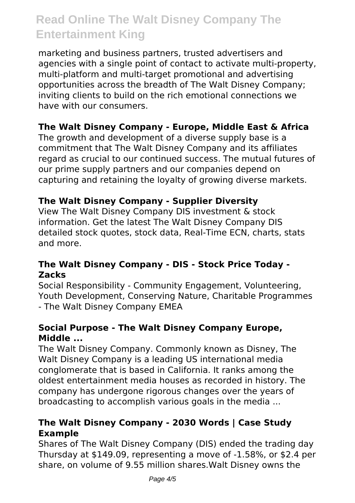marketing and business partners, trusted advertisers and agencies with a single point of contact to activate multi-property, multi-platform and multi-target promotional and advertising opportunities across the breadth of The Walt Disney Company; inviting clients to build on the rich emotional connections we have with our consumers.

#### **The Walt Disney Company - Europe, Middle East & Africa**

The growth and development of a diverse supply base is a commitment that The Walt Disney Company and its affiliates regard as crucial to our continued success. The mutual futures of our prime supply partners and our companies depend on capturing and retaining the loyalty of growing diverse markets.

#### **The Walt Disney Company - Supplier Diversity**

View The Walt Disney Company DIS investment & stock information. Get the latest The Walt Disney Company DIS detailed stock quotes, stock data, Real-Time ECN, charts, stats and more.

#### **The Walt Disney Company - DIS - Stock Price Today - Zacks**

Social Responsibility - Community Engagement, Volunteering, Youth Development, Conserving Nature, Charitable Programmes - The Walt Disney Company EMEA

#### **Social Purpose - The Walt Disney Company Europe, Middle ...**

The Walt Disney Company. Commonly known as Disney, The Walt Disney Company is a leading US international media conglomerate that is based in California. It ranks among the oldest entertainment media houses as recorded in history. The company has undergone rigorous changes over the years of broadcasting to accomplish various goals in the media ...

#### **The Walt Disney Company - 2030 Words | Case Study Example**

Shares of The Walt Disney Company (DIS) ended the trading day Thursday at \$149.09, representing a move of -1.58%, or \$2.4 per share, on volume of 9.55 million shares.Walt Disney owns the